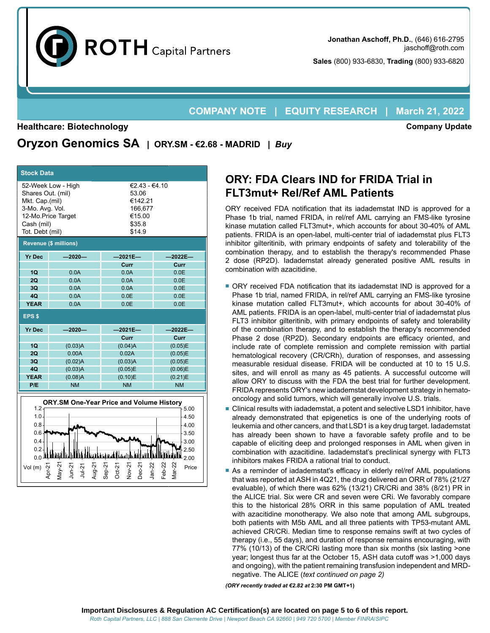

**Sales** (800) 933-6830, **Trading** (800) 933-6820

## **COMPANY NOTE | EQUITY RESEARCH | March 21, 2022**

#### **Healthcare: Biotechnology**

**Company Update**

**Oryzon Genomics SA | ORY.SM - €2.68 - MADRID |** *Buy*

| <b>Stock Data</b>                                                                          |                                                  |                                                                            |                               |  |  |  |  |  |  |
|--------------------------------------------------------------------------------------------|--------------------------------------------------|----------------------------------------------------------------------------|-------------------------------|--|--|--|--|--|--|
| Shares Out. (mil)<br>Mkt. Cap.(mil)<br>3-Mo. Avg. Vol.<br>Cash (mil)<br>Tot. Debt (mil)    | 52-Week Low - High<br>12-Mo.Price Target         | €2.43 - €4.10<br>53.06<br>€142.21<br>166,677<br>€15.00<br>\$35.8<br>\$14.9 |                               |  |  |  |  |  |  |
| <b>Revenue (\$ millions)</b>                                                               |                                                  |                                                                            |                               |  |  |  |  |  |  |
| <b>Yr Dec</b>                                                                              | $-2020-$                                         | $-2021E -$                                                                 | $-2022E -$                    |  |  |  |  |  |  |
|                                                                                            |                                                  | Curr                                                                       | Curr                          |  |  |  |  |  |  |
| 1Q                                                                                         | 0.0A                                             | 0.0A                                                                       | 0.0E                          |  |  |  |  |  |  |
| 2Q                                                                                         | 0.0A                                             | 0.0A                                                                       | 0.0E                          |  |  |  |  |  |  |
| 3Q                                                                                         | 0.0A                                             | 0.0A                                                                       | 0.0E                          |  |  |  |  |  |  |
| 40                                                                                         | 0.0A                                             | 0.0E                                                                       | 0.0E                          |  |  |  |  |  |  |
| <b>YEAR</b>                                                                                | 0.0A                                             | 0.0E                                                                       | 0.0E                          |  |  |  |  |  |  |
| EPS <sub>\$</sub>                                                                          |                                                  |                                                                            |                               |  |  |  |  |  |  |
| <b>Yr Dec</b>                                                                              | $-2020-$                                         | $-2021E-$                                                                  | $-2022E-$                     |  |  |  |  |  |  |
|                                                                                            |                                                  | Curr                                                                       | Curr                          |  |  |  |  |  |  |
| 1Q                                                                                         | (0.03)A                                          | (0.04)A                                                                    | (0.05)E                       |  |  |  |  |  |  |
| 2Q                                                                                         | 0.00A                                            | 0.02A                                                                      | (0.05)E                       |  |  |  |  |  |  |
| 3Q<br>4Q                                                                                   | (0.02)A<br>(0.03)A                               | (0.03)A<br>(0.05)E                                                         | (0.05)E<br>(0.06)E            |  |  |  |  |  |  |
| <b>YEAR</b>                                                                                | (0.08)A                                          | (0.10)E                                                                    | (0.21)E                       |  |  |  |  |  |  |
| P/E                                                                                        | <b>NM</b>                                        | <b>NM</b>                                                                  | <b>NM</b>                     |  |  |  |  |  |  |
|                                                                                            |                                                  |                                                                            |                               |  |  |  |  |  |  |
| <b>ORY.SM One-Year Price and Volume History</b><br>1.2 <sub>2</sub><br>5.00<br>1.0<br>4.50 |                                                  |                                                                            |                               |  |  |  |  |  |  |
| 0.8                                                                                        |                                                  |                                                                            | 4.00                          |  |  |  |  |  |  |
| $0.6 -$                                                                                    |                                                  |                                                                            | 3.50                          |  |  |  |  |  |  |
| $0.4 -$                                                                                    |                                                  |                                                                            | 3.00                          |  |  |  |  |  |  |
| 0.2<br>0.0                                                                                 |                                                  |                                                                            | 2.50                          |  |  |  |  |  |  |
|                                                                                            |                                                  |                                                                            | 2.00                          |  |  |  |  |  |  |
| Vol (m)<br>Apr-21                                                                          | Jun-21<br>lay-21<br>$49 - 21$<br>$J\overline{u}$ | lan-22<br>Dec-2<br>Sep-2<br>Oct-21                                         | $=$ eb-22<br>$ar-22$<br>Price |  |  |  |  |  |  |

# **ORY: FDA Clears IND for FRIDA Trial in FLT3mut+ Rel/Ref AML Patients**

ORY received FDA notification that its iadademstat IND is approved for a Phase 1b trial, named FRIDA, in rel/ref AML carrying an FMS-like tyrosine kinase mutation called FLT3mut+, which accounts for about 30-40% of AML patients. FRIDA is an open-label, multi-center trial of iadademstat plus FLT3 inhibitor gilteritinib, with primary endpoints of safety and tolerability of the combination therapy, and to establish the therapy's recommended Phase 2 dose (RP2D). Iadademstat already generated positive AML results in combination with azacitidine.

- ORY received FDA notification that its iadademstat IND is approved for a Phase 1b trial, named FRIDA, in rel/ref AML carrying an FMS-like tyrosine kinase mutation called FLT3mut+, which accounts for about 30-40% of AML patients. FRIDA is an open-label, multi-center trial of iadademstat plus FLT3 inhibitor gilteritinib, with primary endpoints of safety and tolerability of the combination therapy, and to establish the therapy's recommended Phase 2 dose (RP2D). Secondary endpoints are efficacy oriented, and include rate of complete remission and complete remission with partial hematological recovery (CR/CRh), duration of responses, and assessing measurable residual disease. FRIDA will be conducted at 10 to 15 U.S. sites, and will enroll as many as 45 patients. A successful outcome will allow ORY to discuss with the FDA the best trial for further development. FRIDA represents ORY's new iadademstat development strategy in hematooncology and solid tumors, which will generally involve U.S. trials.
- Clinical results with iadademstat, a potent and selective LSD1 inhibitor, have already demonstrated that epigenetics is one of the underlying roots of leukemia and other cancers, and that LSD1 is a key drug target. Iadademstat has already been shown to have a favorable safety profile and to be capable of eliciting deep and prolonged responses in AML when given in combination with azacitidine. Iadademstat's preclinical synergy with FLT3 inhibitors makes FRIDA a rational trial to conduct.
- As a reminder of iadademstat's efficacy in elderly rel/ref AML populations that was reported at ASH in 4Q21, the drug delivered an ORR of 78% (21/27 evaluable), of which there was 62% (13/21) CR/CRi and 38% (8/21) PR in the ALICE trial. Six were CR and seven were CRi. We favorably compare this to the historical 28% ORR in this same population of AML treated with azacitidine monotherapy. We also note that among AML subgroups, both patients with M5b AML and all three patients with TP53-mutant AML achieved CR/CRi. Median time to response remains swift at two cycles of therapy (i.e., 55 days), and duration of response remains encouraging, with 77% (10/13) of the CR/CRi lasting more than six months (six lasting >one year; longest thus far at the October 15, ASH data cutoff was >1,000 days and ongoing), with the patient remaining transfusion independent and MRDnegative. The ALICE (*text continued on page 2)*

*(ORY recently traded at €2.82 at* **2:30 PM GMT+1)**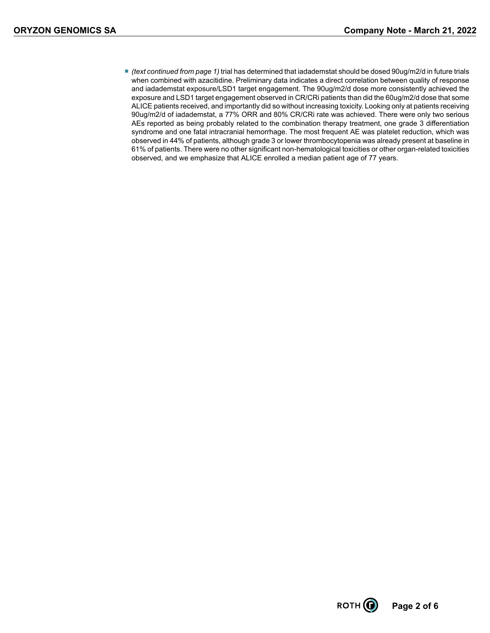■ *(text continued from page 1)* trial has determined that iadademstat should be dosed 90ug/m2/d in future trials when combined with azacitidine. Preliminary data indicates a direct correlation between quality of response and iadademstat exposure/LSD1 target engagement. The 90ug/m2/d dose more consistently achieved the exposure and LSD1 target engagement observed in CR/CRi patients than did the 60ug/m2/d dose that some ALICE patients received, and importantly did so without increasing toxicity. Looking only at patients receiving 90ug/m2/d of iadademstat, a 77% ORR and 80% CR/CRi rate was achieved. There were only two serious AEs reported as being probably related to the combination therapy treatment, one grade 3 differentiation syndrome and one fatal intracranial hemorrhage. The most frequent AE was platelet reduction, which was observed in 44% of patients, although grade 3 or lower thrombocytopenia was already present at baseline in 61% of patients. There were no other significant non-hematological toxicities or other organ-related toxicities observed, and we emphasize that ALICE enrolled a median patient age of 77 years.

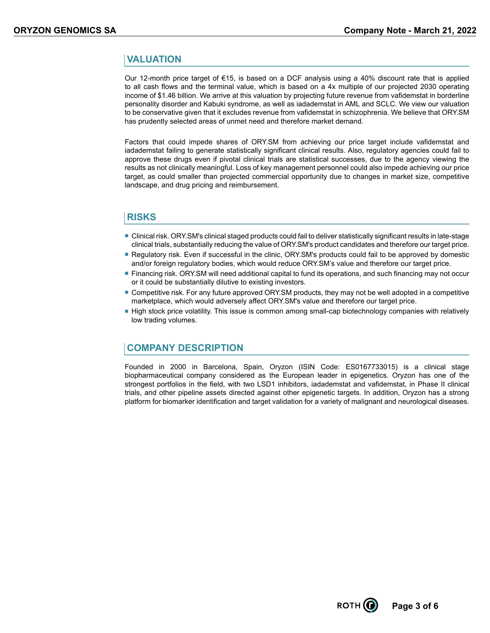## **VALUATION**

Our 12-month price target of €15, is based on a DCF analysis using a 40% discount rate that is applied to all cash flows and the terminal value, which is based on a 4x multiple of our projected 2030 operating income of \$1.46 billion. We arrive at this valuation by projecting future revenue from vafidemstat in borderline personality disorder and Kabuki syndrome, as well as iadademstat in AML and SCLC. We view our valuation to be conservative given that it excludes revenue from vafidemstat in schizophrenia. We believe that ORY.SM has prudently selected areas of unmet need and therefore market demand.

Factors that could impede shares of ORY.SM from achieving our price target include vafidemstat and iadademstat failing to generate statistically significant clinical results. Also, regulatory agencies could fail to approve these drugs even if pivotal clinical trials are statistical successes, due to the agency viewing the results as not clinically meaningful. Loss of key management personnel could also impede achieving our price target, as could smaller than projected commercial opportunity due to changes in market size, competitive landscape, and drug pricing and reimbursement.

## **RISKS**

- Clinical risk. ORY.SM's clinical staged products could fail to deliver statistically significant results in late-stage clinical trials, substantially reducing the value of ORY.SM's product candidates and therefore our target price.
- Regulatory risk. Even if successful in the clinic, ORY.SM's products could fail to be approved by domestic and/or foreign regulatory bodies, which would reduce ORY.SM's value and therefore our target price.
- Financing risk. ORY.SM will need additional capital to fund its operations, and such financing may not occur or it could be substantially dilutive to existing investors.
- Competitive risk. For any future approved ORY. SM products, they may not be well adopted in a competitive marketplace, which would adversely affect ORY.SM's value and therefore our target price.
- High stock price volatility. This issue is common among small-cap biotechnology companies with relatively low trading volumes.

#### **COMPANY DESCRIPTION**

Founded in 2000 in Barcelona, Spain, Oryzon (ISIN Code: ES0167733015) is a clinical stage biopharmaceutical company considered as the European leader in epigenetics. Oryzon has one of the strongest portfolios in the field, with two LSD1 inhibitors, iadademstat and vafidemstat, in Phase II clinical trials, and other pipeline assets directed against other epigenetic targets. In addition, Oryzon has a strong platform for biomarker identification and target validation for a variety of malignant and neurological diseases.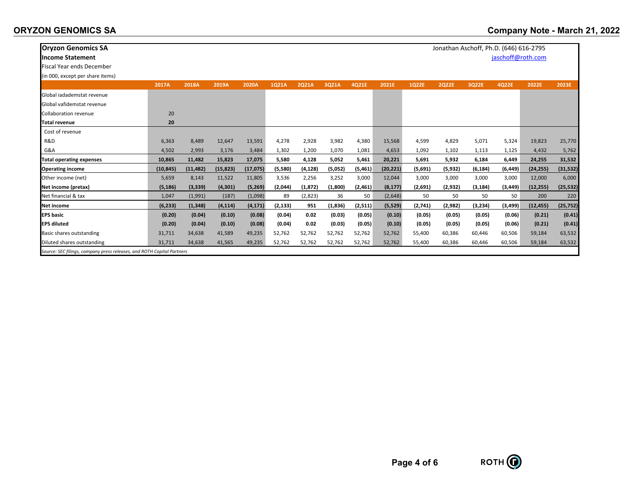| <b>Oryzon Genomics SA</b>                                              |           |           |           |           |          |          |         |         |           |         | Jonathan Aschoff, Ph.D. (646) 616-2795 |          |          |           |           |
|------------------------------------------------------------------------|-----------|-----------|-----------|-----------|----------|----------|---------|---------|-----------|---------|----------------------------------------|----------|----------|-----------|-----------|
| <b>Income Statement</b>                                                |           |           |           |           |          |          |         |         |           |         | jaschoff@roth.com                      |          |          |           |           |
| <b>Fiscal Year ends December</b>                                       |           |           |           |           |          |          |         |         |           |         |                                        |          |          |           |           |
| (in 000, except per share items)                                       |           |           |           |           |          |          |         |         |           |         |                                        |          |          |           |           |
|                                                                        | 2017A     | 2018A     | 2019A     | 2020A     | 1Q21A    | 2Q21A    | 3Q21A   | 4Q21E   | 2021E     | 1Q22E   | <b>2Q22E</b>                           | 3Q22E    | 4Q22E    | 2022E     | 2023E     |
| Global jadademstat revenue                                             |           |           |           |           |          |          |         |         |           |         |                                        |          |          |           |           |
| Global vafidemstat revenue                                             |           |           |           |           |          |          |         |         |           |         |                                        |          |          |           |           |
| <b>Collaboration revenue</b>                                           | 20        |           |           |           |          |          |         |         |           |         |                                        |          |          |           |           |
| <b>Total revenue</b>                                                   | 20        |           |           |           |          |          |         |         |           |         |                                        |          |          |           |           |
| Cost of revenue                                                        |           |           |           |           |          |          |         |         |           |         |                                        |          |          |           |           |
| R&D                                                                    | 6,363     | 8,489     | 12,647    | 13,591    | 4,278    | 2,928    | 3,982   | 4,380   | 15,568    | 4,599   | 4,829                                  | 5,071    | 5,324    | 19,823    | 25,770    |
| G&A                                                                    | 4,502     | 2,993     | 3,176     | 3,484     | 1,302    | 1,200    | 1,070   | 1,081   | 4,653     | 1,092   | 1,102                                  | 1,113    | 1,125    | 4,432     | 5,762     |
| <b>Total operating expenses</b>                                        | 10,865    | 11,482    | 15,823    | 17,075    | 5,580    | 4,128    | 5,052   | 5,461   | 20,221    | 5,691   | 5,932                                  | 6,184    | 6,449    | 24,255    | 31,532    |
| <b>Operating income</b>                                                | (10, 845) | (11, 482) | (15, 823) | (17, 075) | (5,580)  | (4, 128) | (5,052) | (5,461) | (20, 221) | (5,691) | (5, 932)                               | (6, 184) | (6, 449) | (24, 255) | (31, 532) |
| Other income (net)                                                     | 5,659     | 8,143     | 11,522    | 11,805    | 3,536    | 2,256    | 3,252   | 3,000   | 12,044    | 3,000   | 3,000                                  | 3,000    | 3,000    | 12,000    | 6,000     |
| Net income (pretax)                                                    | (5, 186)  | (3, 339)  | (4, 301)  | (5,269)   | (2,044)  | (1, 872) | (1,800) | (2,461) | (8, 177)  | (2,691) | (2,932)                                | (3, 184) | (3, 449) | (12, 255) | (25, 532) |
| Net financial & tax                                                    | 1,047     | (1,991)   | (187)     | (1,098)   | 89       | (2,823)  | 36      | 50      | (2,648)   | 50      | 50                                     | 50       | 50       | 200       | 220       |
| Net income                                                             | (6, 233)  | (1, 348)  | (4, 114)  | (4, 171)  | (2, 133) | 951      | (1,836) | (2,511) | (5, 529)  | (2,741) | (2,982)                                | (3,234)  | (3, 499) | (12, 455) | (25, 752) |
| <b>EPS</b> basic                                                       | (0.20)    | (0.04)    | (0.10)    | (0.08)    | (0.04)   | 0.02     | (0.03)  | (0.05)  | (0.10)    | (0.05)  | (0.05)                                 | (0.05)   | (0.06)   | (0.21)    | (0.41)    |
| <b>EPS diluted</b>                                                     | (0.20)    | (0.04)    | (0.10)    | (0.08)    | (0.04)   | 0.02     | (0.03)  | (0.05)  | (0.10)    | (0.05)  | (0.05)                                 | (0.05)   | (0.06)   | (0.21)    | (0.41)    |
| Basic shares outstanding                                               | 31,711    | 34,638    | 41,589    | 49,235    | 52,762   | 52,762   | 52,762  | 52,762  | 52,762    | 55,400  | 60,386                                 | 60,446   | 60,506   | 59,184    | 63,532    |
| Diluted shares outstanding                                             | 31,711    | 34,638    | 41,565    | 49,235    | 52,762   | 52,762   | 52,762  | 52,762  | 52,762    | 55,400  | 60,386                                 | 60,446   | 60,506   | 59,184    | 63,532    |
| Source: SEC filings, company press releases, and ROTH Capital Partners |           |           |           |           |          |          |         |         |           |         |                                        |          |          |           |           |

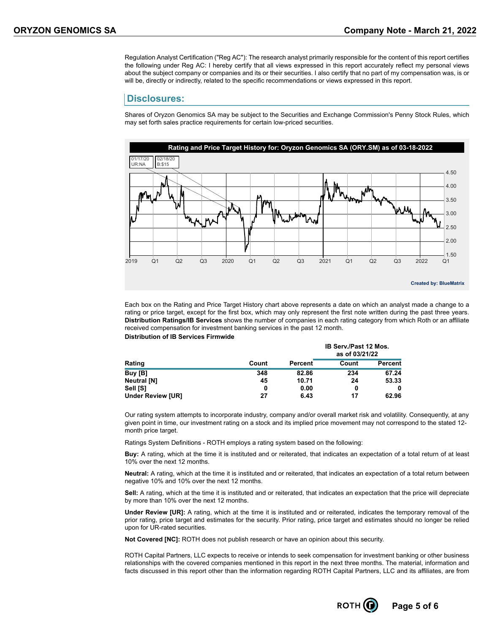Regulation Analyst Certification ("Reg AC"): The research analyst primarily responsible for the content of this report certifies the following under Reg AC: I hereby certify that all views expressed in this report accurately reflect my personal views about the subject company or companies and its or their securities. I also certify that no part of my compensation was, is or will be, directly or indirectly, related to the specific recommendations or views expressed in this report.

#### **Disclosures:**

Shares of Oryzon Genomics SA may be subject to the Securities and Exchange Commission's Penny Stock Rules, which may set forth sales practice requirements for certain low-priced securities.



Each box on the Rating and Price Target History chart above represents a date on which an analyst made a change to a rating or price target, except for the first box, which may only represent the first note written during the past three years. **Distribution Ratings/IB Services** shows the number of companies in each rating category from which Roth or an affiliate received compensation for investment banking services in the past 12 month. **Distribution of IB Services Firmwide**

|                          |          |         | <b>IB Serv./Past 12 Mos.</b><br>as of 03/21/22 |         |  |  |
|--------------------------|----------|---------|------------------------------------------------|---------|--|--|
| Rating                   | Count    | Percent | Count                                          | Percent |  |  |
| Buy [B]                  | 348      | 82.86   | 234                                            | 67.24   |  |  |
| <b>Neutral [N]</b>       | 45       | 10.71   | 24                                             | 53.33   |  |  |
| Sell [S]                 | $\bf{0}$ | 0.00    | 0                                              |         |  |  |
| <b>Under Review [UR]</b> | 27       | 6.43    | 17                                             | 62.96   |  |  |

Our rating system attempts to incorporate industry, company and/or overall market risk and volatility. Consequently, at any given point in time, our investment rating on a stock and its implied price movement may not correspond to the stated 12 month price target.

Ratings System Definitions - ROTH employs a rating system based on the following:

**Buy:** A rating, which at the time it is instituted and or reiterated, that indicates an expectation of a total return of at least 10% over the next 12 months.

**Neutral:** A rating, which at the time it is instituted and or reiterated, that indicates an expectation of a total return between negative 10% and 10% over the next 12 months.

**Sell:** A rating, which at the time it is instituted and or reiterated, that indicates an expectation that the price will depreciate by more than 10% over the next 12 months.

**Under Review [UR]:** A rating, which at the time it is instituted and or reiterated, indicates the temporary removal of the prior rating, price target and estimates for the security. Prior rating, price target and estimates should no longer be relied upon for UR-rated securities.

**Not Covered [NC]:** ROTH does not publish research or have an opinion about this security.

ROTH Capital Partners, LLC expects to receive or intends to seek compensation for investment banking or other business relationships with the covered companies mentioned in this report in the next three months. The material, information and facts discussed in this report other than the information regarding ROTH Capital Partners, LLC and its affiliates, are from